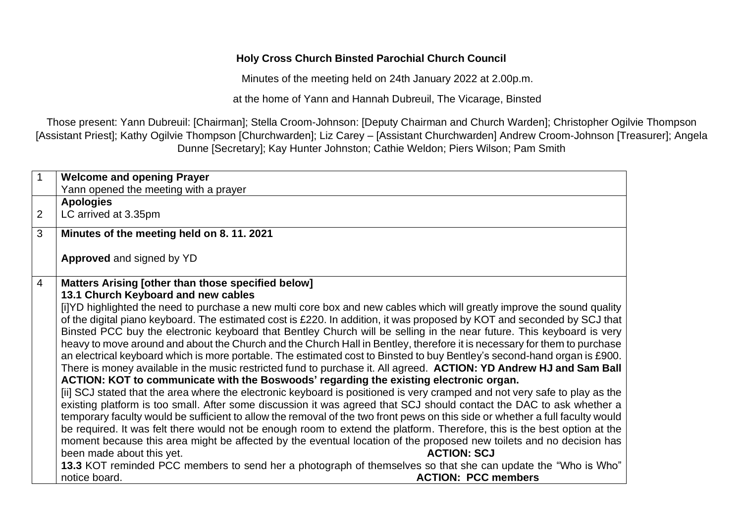#### **Holy Cross Church Binsted Parochial Church Council**

Minutes of the meeting held on 24th January 2022 at 2.00p.m.

at the home of Yann and Hannah Dubreuil, The Vicarage, Binsted

Those present: Yann Dubreuil: [Chairman]; Stella Croom-Johnson: [Deputy Chairman and Church Warden]; Christopher Ogilvie Thompson [Assistant Priest]; Kathy Ogilvie Thompson [Churchwarden]; Liz Carey – [Assistant Churchwarden] Andrew Croom-Johnson [Treasurer]; Angela Dunne [Secretary]; Kay Hunter Johnston; Cathie Weldon; Piers Wilson; Pam Smith

| 1              |                                                                                                                               |
|----------------|-------------------------------------------------------------------------------------------------------------------------------|
|                | <b>Welcome and opening Prayer</b>                                                                                             |
|                | Yann opened the meeting with a prayer                                                                                         |
|                | <b>Apologies</b>                                                                                                              |
| $\overline{2}$ | LC arrived at 3.35pm                                                                                                          |
| 3              | Minutes of the meeting held on 8.11.2021                                                                                      |
|                | <b>Approved</b> and signed by YD                                                                                              |
| $\overline{4}$ | Matters Arising [other than those specified below]                                                                            |
|                | 13.1 Church Keyboard and new cables                                                                                           |
|                | [i]YD highlighted the need to purchase a new multi core box and new cables which will greatly improve the sound quality       |
|                | of the digital piano keyboard. The estimated cost is £220. In addition, it was proposed by KOT and seconded by SCJ that       |
|                | Binsted PCC buy the electronic keyboard that Bentley Church will be selling in the near future. This keyboard is very         |
|                | heavy to move around and about the Church and the Church Hall in Bentley, therefore it is necessary for them to purchase      |
|                | an electrical keyboard which is more portable. The estimated cost to Binsted to buy Bentley's second-hand organ is £900.      |
|                |                                                                                                                               |
|                | There is money available in the music restricted fund to purchase it. All agreed. ACTION: YD Andrew HJ and Sam Ball           |
|                | ACTION: KOT to communicate with the Boswoods' regarding the existing electronic organ.                                        |
|                | [ii] SCJ stated that the area where the electronic keyboard is positioned is very cramped and not very safe to play as the    |
|                | existing platform is too small. After some discussion it was agreed that SCJ should contact the DAC to ask whether a          |
|                | temporary faculty would be sufficient to allow the removal of the two front pews on this side or whether a full faculty would |
|                | be required. It was felt there would not be enough room to extend the platform. Therefore, this is the best option at the     |
|                | moment because this area might be affected by the eventual location of the proposed new toilets and no decision has           |
|                | been made about this yet.<br><b>ACTION: SCJ</b>                                                                               |
|                | 13.3 KOT reminded PCC members to send her a photograph of themselves so that she can update the "Who is Who"                  |
|                | <b>ACTION: PCC members</b><br>notice board.                                                                                   |
|                |                                                                                                                               |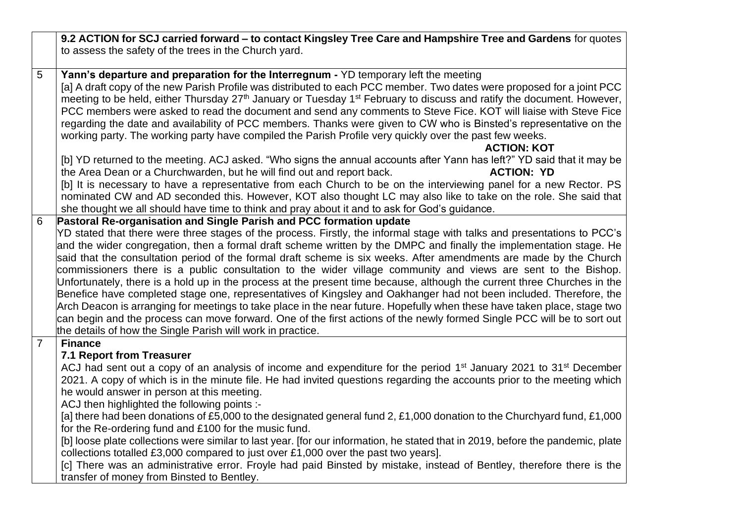**9.2 ACTION for SCJ carried forward – to contact Kingsley Tree Care and Hampshire Tree and Gardens** for quotes to assess the safety of the trees in the Church yard.

5 **Yann's departure and preparation for the Interregnum -** YD temporary left the meeting [a] A draft copy of the new Parish Profile was distributed to each PCC member. Two dates were proposed for a joint PCC meeting to be held, either Thursday 27<sup>th</sup> January or Tuesday 1<sup>st</sup> February to discuss and ratify the document. However, PCC members were asked to read the document and send any comments to Steve Fice. KOT will liaise with Steve Fice regarding the date and availability of PCC members. Thanks were given to CW who is Binsted's representative on the working party. The working party have compiled the Parish Profile very quickly over the past few weeks.

### **ACTION: KOT**

[b] YD returned to the meeting. ACJ asked. "Who signs the annual accounts after Yann has left?" YD said that it may be the Area Dean or a Churchwarden, but he will find out and report back. **ACTION: YD**

[b] It is necessary to have a representative from each Church to be on the interviewing panel for a new Rector. PS nominated CW and AD seconded this. However, KOT also thought LC may also like to take on the role. She said that she thought we all should have time to think and pray about it and to ask for God's guidance.

# 6 **Pastoral Re-organisation and Single Parish and PCC formation update**

YD stated that there were three stages of the process. Firstly, the informal stage with talks and presentations to PCC's and the wider congregation, then a formal draft scheme written by the DMPC and finally the implementation stage. He said that the consultation period of the formal draft scheme is six weeks. After amendments are made by the Church commissioners there is a public consultation to the wider village community and views are sent to the Bishop. Unfortunately, there is a hold up in the process at the present time because, although the current three Churches in the Benefice have completed stage one, representatives of Kingsley and Oakhanger had not been included. Therefore, the Arch Deacon is arranging for meetings to take place in the near future. Hopefully when these have taken place, stage two can begin and the process can move forward. One of the first actions of the newly formed Single PCC will be to sort out the details of how the Single Parish will work in practice.

## 7 **Finance**

## **7.1 Report from Treasurer**

ACJ had sent out a copy of an analysis of income and expenditure for the period 1<sup>st</sup> January 2021 to 31<sup>st</sup> December 2021. A copy of which is in the minute file. He had invited questions regarding the accounts prior to the meeting which he would answer in person at this meeting.

ACJ then highlighted the following points :-

[a] there had been donations of £5,000 to the designated general fund 2, £1,000 donation to the Churchyard fund, £1,000 for the Re-ordering fund and £100 for the music fund.

[b] loose plate collections were similar to last year. [for our information, he stated that in 2019, before the pandemic, plate collections totalled £3,000 compared to just over £1,000 over the past two years].

[c] There was an administrative error. Froyle had paid Binsted by mistake, instead of Bentley, therefore there is the transfer of money from Binsted to Bentley.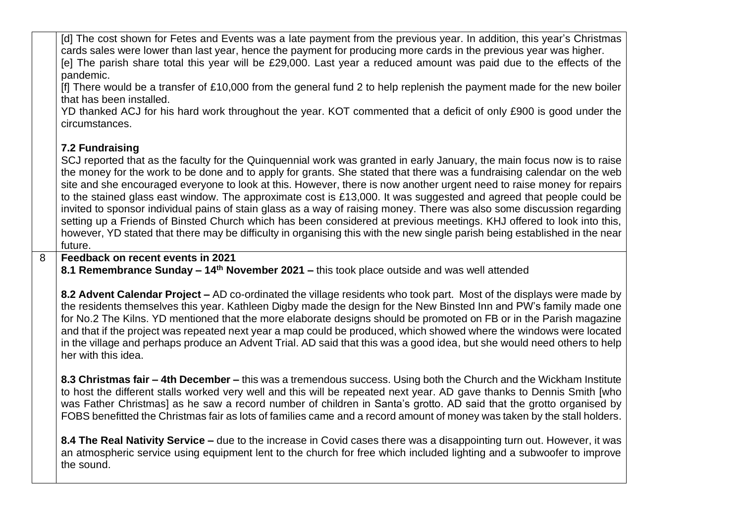[d] The cost shown for Fetes and Events was a late payment from the previous year. In addition, this year's Christmas cards sales were lower than last year, hence the payment for producing more cards in the previous year was higher. [e] The parish share total this year will be £29,000. Last year a reduced amount was paid due to the effects of the pandemic.

[f] There would be a transfer of £10,000 from the general fund 2 to help replenish the payment made for the new boiler that has been installed.

YD thanked ACJ for his hard work throughout the year. KOT commented that a deficit of only £900 is good under the circumstances.

## **7.2 Fundraising**

SCJ reported that as the faculty for the Quinquennial work was granted in early January, the main focus now is to raise the money for the work to be done and to apply for grants. She stated that there was a fundraising calendar on the web site and she encouraged everyone to look at this. However, there is now another urgent need to raise money for repairs to the stained glass east window. The approximate cost is £13,000. It was suggested and agreed that people could be invited to sponsor individual pains of stain glass as a way of raising money. There was also some discussion regarding setting up a Friends of Binsted Church which has been considered at previous meetings. KHJ offered to look into this, however, YD stated that there may be difficulty in organising this with the new single parish being established in the near future.

8 **Feedback on recent events in 2021**

**8.1 Remembrance Sunday – 14th November 2021 –** this took place outside and was well attended

**8.2 Advent Calendar Project –** AD co-ordinated the village residents who took part. Most of the displays were made by the residents themselves this year. Kathleen Digby made the design for the New Binsted Inn and PW's family made one for No.2 The Kilns. YD mentioned that the more elaborate designs should be promoted on FB or in the Parish magazine and that if the project was repeated next year a map could be produced, which showed where the windows were located in the village and perhaps produce an Advent Trial. AD said that this was a good idea, but she would need others to help her with this idea.

**8.3 Christmas fair – 4th December –** this was a tremendous success. Using both the Church and the Wickham Institute to host the different stalls worked very well and this will be repeated next year. AD gave thanks to Dennis Smith [who was Father Christmas] as he saw a record number of children in Santa's grotto. AD said that the grotto organised by FOBS benefitted the Christmas fair as lots of families came and a record amount of money was taken by the stall holders.

**8.4 The Real Nativity Service –** due to the increase in Covid cases there was a disappointing turn out. However, it was an atmospheric service using equipment lent to the church for free which included lighting and a subwoofer to improve the sound.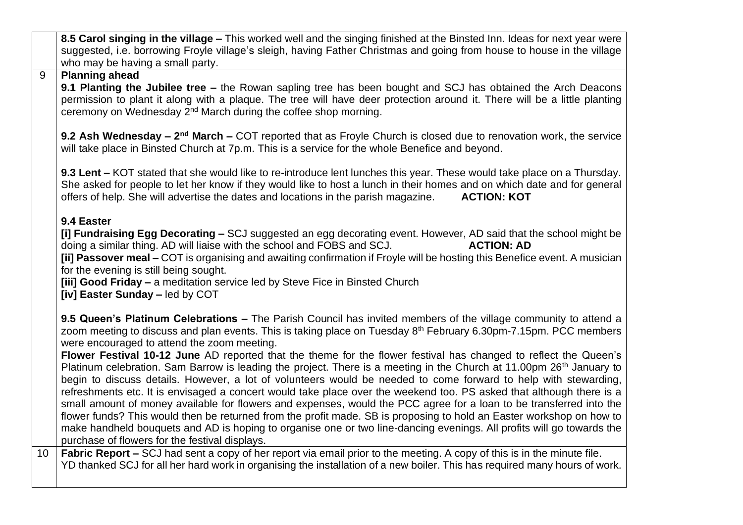**8.5 Carol singing in the village –** This worked well and the singing finished at the Binsted Inn. Ideas for next year were suggested, i.e. borrowing Froyle village's sleigh, having Father Christmas and going from house to house in the village who may be having a small party.

## 9 **Planning ahead**

**9.1 Planting the Jubilee tree –** the Rowan sapling tree has been bought and SCJ has obtained the Arch Deacons permission to plant it along with a plaque. The tree will have deer protection around it. There will be a little planting ceremony on Wednesday 2<sup>nd</sup> March during the coffee shop morning.

**9.2 Ash Wednesday – 2<sup>nd</sup> March – COT reported that as Froyle Church is closed due to renovation work, the service** will take place in Binsted Church at 7p.m. This is a service for the whole Benefice and beyond.

**9.3 Lent –** KOT stated that she would like to re-introduce lent lunches this year. These would take place on a Thursday. She asked for people to let her know if they would like to host a lunch in their homes and on which date and for general offers of help. She will advertise the dates and locations in the parish magazine. **ACTION: KOT**

## **9.4 Easter**

**[i] Fundraising Egg Decorating –** SCJ suggested an egg decorating event. However, AD said that the school might be doing a similar thing. AD will liaise with the school and FOBS and SCJ. **ACTION: AD**

**[ii] Passover meal –** COT is organising and awaiting confirmation if Froyle will be hosting this Benefice event. A musician for the evening is still being sought.

**[iii] Good Friday –** a meditation service led by Steve Fice in Binsted Church

**[iv] Easter Sunday –** led by COT

**9.5 Queen's Platinum Celebrations –** The Parish Council has invited members of the village community to attend a zoom meeting to discuss and plan events. This is taking place on Tuesday 8<sup>th</sup> February 6.30pm-7.15pm. PCC members were encouraged to attend the zoom meeting.

**Flower Festival 10-12 June** AD reported that the theme for the flower festival has changed to reflect the Queen's Platinum celebration. Sam Barrow is leading the project. There is a meeting in the Church at 11.00pm 26<sup>th</sup> January to begin to discuss details. However, a lot of volunteers would be needed to come forward to help with stewarding, refreshments etc. It is envisaged a concert would take place over the weekend too. PS asked that although there is a small amount of money available for flowers and expenses, would the PCC agree for a loan to be transferred into the flower funds? This would then be returned from the profit made. SB is proposing to hold an Easter workshop on how to make handheld bouquets and AD is hoping to organise one or two line-dancing evenings. All profits will go towards the purchase of flowers for the festival displays.

10 **Fabric Report –** SCJ had sent a copy of her report via email prior to the meeting. A copy of this is in the minute file. YD thanked SCJ for all her hard work in organising the installation of a new boiler. This has required many hours of work.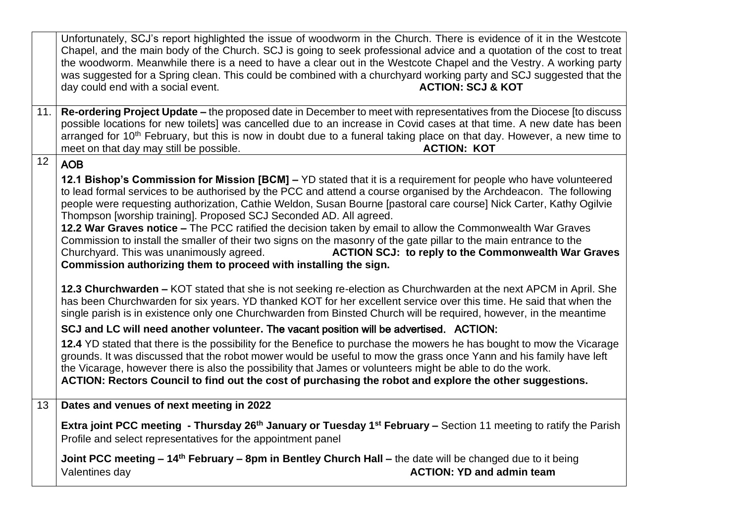Unfortunately, SCJ's report highlighted the issue of woodworm in the Church. There is evidence of it in the Westcote Chapel, and the main body of the Church. SCJ is going to seek professional advice and a quotation of the cost to treat the woodworm. Meanwhile there is a need to have a clear out in the Westcote Chapel and the Vestry. A working party was suggested for a Spring clean. This could be combined with a churchyard working party and SCJ suggested that the day could end with a social event. **ACTION: SCJ & KOT** 11. **Re-ordering Project Update –** the proposed date in December to meet with representatives from the Diocese [to discuss possible locations for new toilets] was cancelled due to an increase in Covid cases at that time. A new date has been arranged for 10<sup>th</sup> February, but this is now in doubt due to a funeral taking place on that day. However, a new time to meet on that day may still be possible. **ACTION: KOT**  $12$  AOB **12.1 Bishop's Commission for Mission [BCM] –** YD stated that it is a requirement for people who have volunteered to lead formal services to be authorised by the PCC and attend a course organised by the Archdeacon. The following people were requesting authorization, Cathie Weldon, Susan Bourne [pastoral care course] Nick Carter, Kathy Ogilvie Thompson [worship training]. Proposed SCJ Seconded AD. All agreed. **12.2 War Graves notice –** The PCC ratified the decision taken by email to allow the Commonwealth War Graves Commission to install the smaller of their two signs on the masonry of the gate pillar to the main entrance to the Churchyard. This was unanimously agreed. **ACTION SCJ: to reply to the Commonwealth War Graves Commission authorizing them to proceed with installing the sign. 12.3 Churchwarden –** KOT stated that she is not seeking re-election as Churchwarden at the next APCM in April. She has been Churchwarden for six years. YD thanked KOT for her excellent service over this time. He said that when the single parish is in existence only one Churchwarden from Binsted Church will be required, however, in the meantime **SCJ and LC will need another volunteer.** The vacant position will be advertised. ACTION: **12.4** YD stated that there is the possibility for the Benefice to purchase the mowers he has bought to mow the Vicarage grounds. It was discussed that the robot mower would be useful to mow the grass once Yann and his family have left the Vicarage, however there is also the possibility that James or volunteers might be able to do the work. **ACTION: Rectors Council to find out the cost of purchasing the robot and explore the other suggestions.** 13 **Dates and venues of next meeting in 2022 Extra joint PCC meeting - Thursday 26th January or Tuesday 1st February –** Section 11 meeting to ratify the Parish Profile and select representatives for the appointment panel **Joint PCC meeting – 14th February – 8pm in Bentley Church Hall –** the date will be changed due to it being Valentines day **ACTION: YD and admin team**